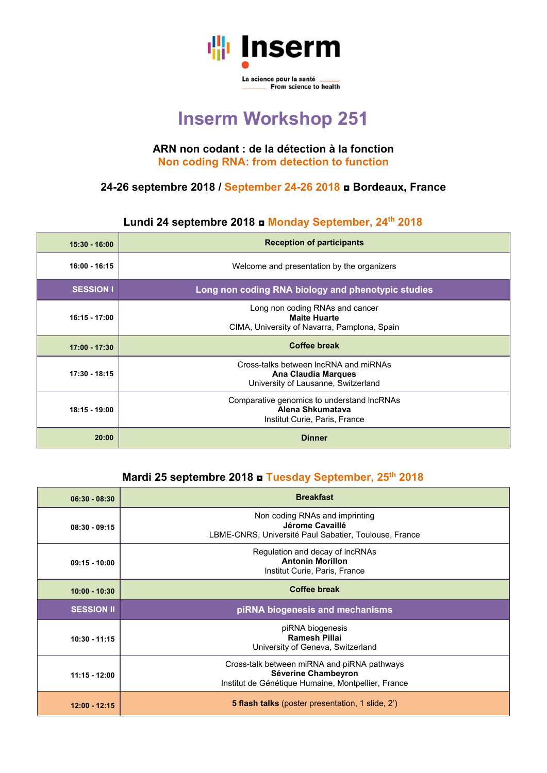

# **Inserm Workshop 251**

#### **ARN non codant : de la détection à la fonction Non coding RNA: from detection to function**

#### **24-26 septembre 2018 / September 24-26 2018 ◘ Bordeaux, France**

#### **Lundi 24 septembre 2018 ◘ Monday September, 24th 2018**

| $15:30 - 16:00$  | <b>Reception of participants</b>                                                                           |
|------------------|------------------------------------------------------------------------------------------------------------|
| $16:00 - 16:15$  | Welcome and presentation by the organizers                                                                 |
| <b>SESSION I</b> | Long non coding RNA biology and phenotypic studies                                                         |
| $16:15 - 17:00$  | Long non coding RNAs and cancer<br><b>Maite Huarte</b><br>CIMA, University of Navarra, Pamplona, Spain     |
| $17:00 - 17:30$  | <b>Coffee break</b>                                                                                        |
| 17:30 - 18:15    | Cross-talks between IncRNA and miRNAs<br><b>Ana Claudia Marques</b><br>University of Lausanne, Switzerland |
| $18:15 - 19:00$  | Comparative genomics to understand IncRNAs<br>Alena Shkumatava<br>Institut Curie, Paris, France            |
| 20:00            | <b>Dinner</b>                                                                                              |

### **Mardi 25 septembre 2018 ◘ Tuesday September, 25th 2018**

| $06:30 - 08:30$   | <b>Breakfast</b>                                                                                                         |
|-------------------|--------------------------------------------------------------------------------------------------------------------------|
| $08:30 - 09:15$   | Non coding RNAs and imprinting<br>Jérome Cavaillé<br>LBME-CNRS, Université Paul Sabatier, Toulouse, France               |
| $09:15 - 10:00$   | Regulation and decay of IncRNAs<br><b>Antonin Morillon</b><br>Institut Curie, Paris, France                              |
| $10:00 - 10:30$   | <b>Coffee break</b>                                                                                                      |
| <b>SESSION II</b> | piRNA biogenesis and mechanisms                                                                                          |
| $10:30 - 11:15$   | piRNA biogenesis<br><b>Ramesh Pillai</b><br>University of Geneva, Switzerland                                            |
| $11:15 - 12:00$   | Cross-talk between miRNA and piRNA pathways<br>Séverine Chambeyron<br>Institut de Génétique Humaine, Montpellier, France |
| $12:00 - 12:15$   | <b>5 flash talks</b> (poster presentation, 1 slide, 2')                                                                  |